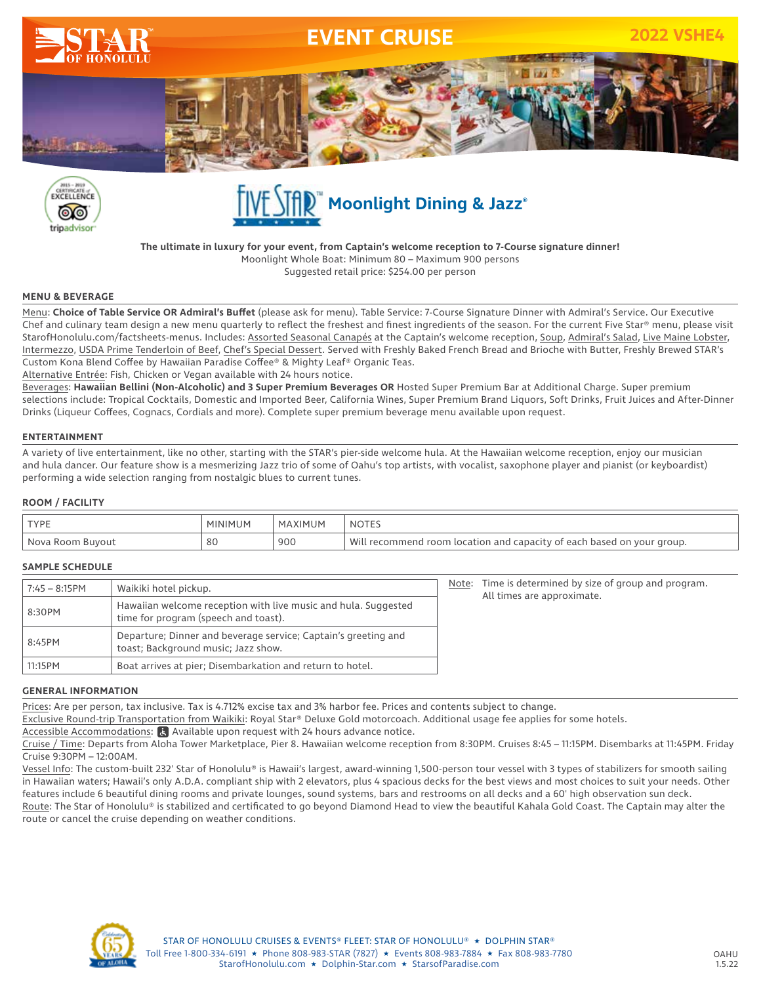





**The ultimate in luxury for your event, from Captain's welcome reception to 7-Course signature dinner!** Moonlight Whole Boat: Minimum 80 – Maximum 900 persons Suggested retail price: \$254.00 per person

### **MENU & BEVERAGE**

Menu: **Choice of Table Service OR Admiral's Buffet** (please ask for menu). Table Service: 7-Course Signature Dinner with Admiral's Service. Our Executive Chef and culinary team design a new menu quarterly to reflect the freshest and finest ingredients of the season. For the current Five Star® menu, please visit StarofHonolulu.com/factsheets-menus. Includes: Assorted Seasonal Canapés at the Captain's welcome reception, Soup, Admiral's Salad, Live Maine Lobster, Intermezzo, USDA Prime Tenderloin of Beef, Chef's Special Dessert. Served with Freshly Baked French Bread and Brioche with Butter, Freshly Brewed STAR's Custom Kona Blend Coffee by Hawaiian Paradise Coffee® & Mighty Leaf® Organic Teas.

Alternative Entrée: Fish, Chicken or Vegan available with 24 hours notice.

Beverages: **Hawaiian Bellini (Non-Alcoholic) and 3 Super Premium Beverages OR** Hosted Super Premium Bar at Additional Charge. Super premium selections include: Tropical Cocktails, Domestic and Imported Beer, California Wines, Super Premium Brand Liquors, Soft Drinks, Fruit Juices and After-Dinner Drinks (Liqueur Coffees, Cognacs, Cordials and more). Complete super premium beverage menu available upon request.

### **ENTERTAINMENT**

A variety of live entertainment, like no other, starting with the STAR's pier-side welcome hula. At the Hawaiian welcome reception, enjoy our musician and hula dancer. Our feature show is a mesmerizing Jazz trio of some of Oahu's top artists, with vocalist, saxophone player and pianist (or keyboardist) performing a wide selection ranging from nostalgic blues to current tunes.

### **ROOM / FACILITY**

| <b>TYPE</b>         | ⊣UM I   | MAXIMUM | NOTE.                                                                                   |
|---------------------|---------|---------|-----------------------------------------------------------------------------------------|
| Nova Room<br>Buvout | ິ<br>οu | 900     | Wili<br>n and capacity of each based on your group.<br>. room location :<br>recommend L |

### **SAMPLE SCHEDULE**

| 7:45 - 8:15PM | Waikiki hotel pickup.                                                                                  |  | Time is determined by size of group and program.<br>All times are approximate. |
|---------------|--------------------------------------------------------------------------------------------------------|--|--------------------------------------------------------------------------------|
| 8:30PM        | Hawaiian welcome reception with live music and hula. Suggested<br>time for program (speech and toast). |  |                                                                                |
| 8:45PM        | Departure; Dinner and beverage service; Captain's greeting and<br>toast; Background music; Jazz show.  |  |                                                                                |
| 11:15PM       | Boat arrives at pier; Disembarkation and return to hotel.                                              |  |                                                                                |

### **GENERAL INFORMATION**

Prices: Are per person, tax inclusive. Tax is 4.712% excise tax and 3% harbor fee. Prices and contents subject to change.

Exclusive Round-trip Transportation from Waikiki: Royal Star® Deluxe Gold motorcoach. Additional usage fee applies for some hotels.

Accessible Accommodations:  $\alpha$  Available upon request with 24 hours advance notice.

Cruise / Time: Departs from Aloha Tower Marketplace, Pier 8. Hawaiian welcome reception from 8:30PM. Cruises 8:45 – 11:15PM. Disembarks at 11:45PM. Friday Cruise 9:30PM – 12:00AM.

Vessel Info: The custom-built 232' Star of Honolulu® is Hawaii's largest, award-winning 1,500-person tour vessel with 3 types of stabilizers for smooth sailing in Hawaiian waters; Hawaii's only A.D.A. compliant ship with 2 elevators, plus 4 spacious decks for the best views and most choices to suit your needs. Other features include 6 beautiful dining rooms and private lounges, sound systems, bars and restrooms on all decks and a 60' high observation sun deck. Route: The Star of Honolulu® is stabilized and certificated to go beyond Diamond Head to view the beautiful Kahala Gold Coast. The Captain may alter the route or cancel the cruise depending on weather conditions.